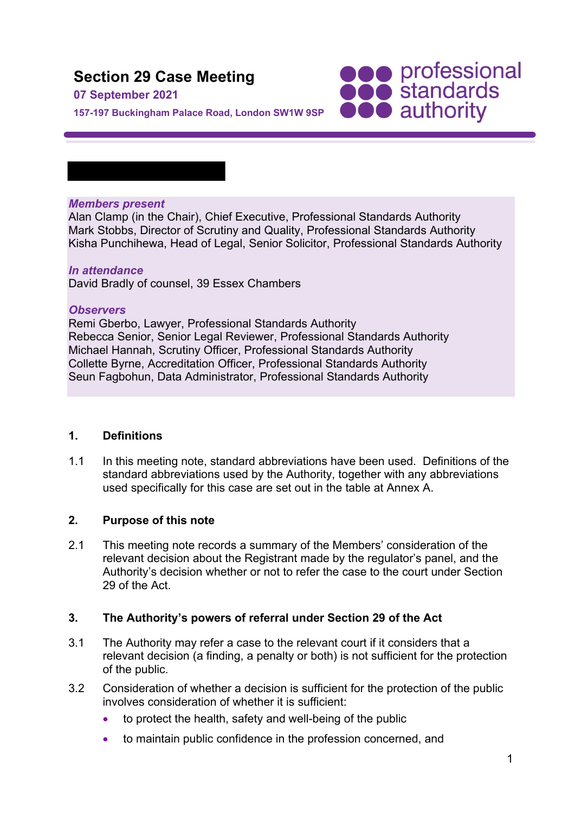## **Section 29 Case Meeting**

#### **07 September 2021**

**157-197 Buckingham Palace Road, London SW1W 9SP**

# **SOO professional**<br> **SOO standards**<br> **OOO** authority

#### *Members present*

Alan Clamp (in the Chair), Chief Executive, Professional Standards Authority Mark Stobbs, Director of Scrutiny and Quality, Professional Standards Authority Kisha Punchihewa, Head of Legal, Senior Solicitor, Professional Standards Authority

#### *In attendance*

David Bradly of counsel, 39 Essex Chambers

#### *Observers*

Remi Gberbo, Lawyer, Professional Standards Authority Rebecca Senior, Senior Legal Reviewer, Professional Standards Authority Michael Hannah, Scrutiny Officer, Professional Standards Authority Collette Byrne, Accreditation Officer, Professional Standards Authority Seun Fagbohun, Data Administrator, Professional Standards Authority

#### **1. Definitions**

1.1 In this meeting note, standard abbreviations have been used. Definitions of the standard abbreviations used by the Authority, together with any abbreviations used specifically for this case are set out in the table at Annex A.

#### **2. Purpose of this note**

2.1 This meeting note records a summary of the Members' consideration of the relevant decision about the Registrant made by the regulator's panel, and the Authority's decision whether or not to refer the case to the court under Section 29 of the Act.

#### **3. The Authority's powers of referral under Section 29 of the Act**

- 3.1 The Authority may refer a case to the relevant court if it considers that a relevant decision (a finding, a penalty or both) is not sufficient for the protection of the public.
- 3.2 Consideration of whether a decision is sufficient for the protection of the public involves consideration of whether it is sufficient:
	- to protect the health, safety and well-being of the public
	- to maintain public confidence in the profession concerned, and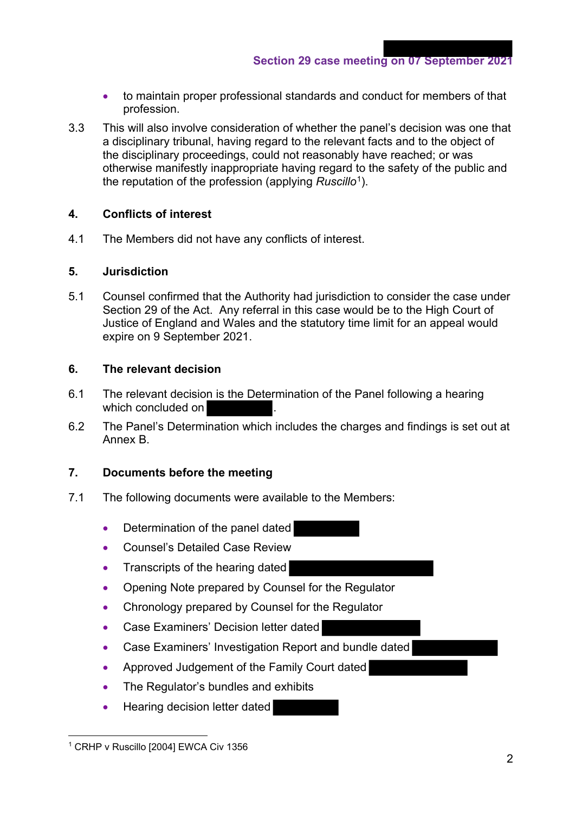- to maintain proper professional standards and conduct for members of that profession.
- 3.3 This will also involve consideration of whether the panel's decision was one that a disciplinary tribunal, having regard to the relevant facts and to the object of the disciplinary proceedings, could not reasonably have reached; or was otherwise manifestly inappropriate having regard to the safety of the public and the reputation of the profession (applying *Ruscillo*1).

#### **4. Conflicts of interest**

4.1 The Members did not have any conflicts of interest.

#### **5. Jurisdiction**

5.1 Counsel confirmed that the Authority had jurisdiction to consider the case under Section 29 of the Act. Any referral in this case would be to the High Court of Justice of England and Wales and the statutory time limit for an appeal would expire on 9 September 2021.

#### **6. The relevant decision**

- 6.1 The relevant decision is the Determination of the Panel following a hearing which concluded on
- 6.2 The Panel's Determination which includes the charges and findings is set out at Annex B.

#### **7. Documents before the meeting**

- 7.1 The following documents were available to the Members:
	- Determination of the panel dated
	- Counsel's Detailed Case Review
	- Transcripts of the hearing dated
	- Opening Note prepared by Counsel for the Regulator
	- Chronology prepared by Counsel for the Regulator
	- Case Examiners' Decision letter dated
	- Case Examiners' Investigation Report and bundle dated
	- Approved Judgement of the Family Court dated
	- The Regulator's bundles and exhibits
	- Hearing decision letter dated

<sup>&</sup>lt;sup>1</sup> CRHP v Ruscillo [2004] EWCA Civ 1356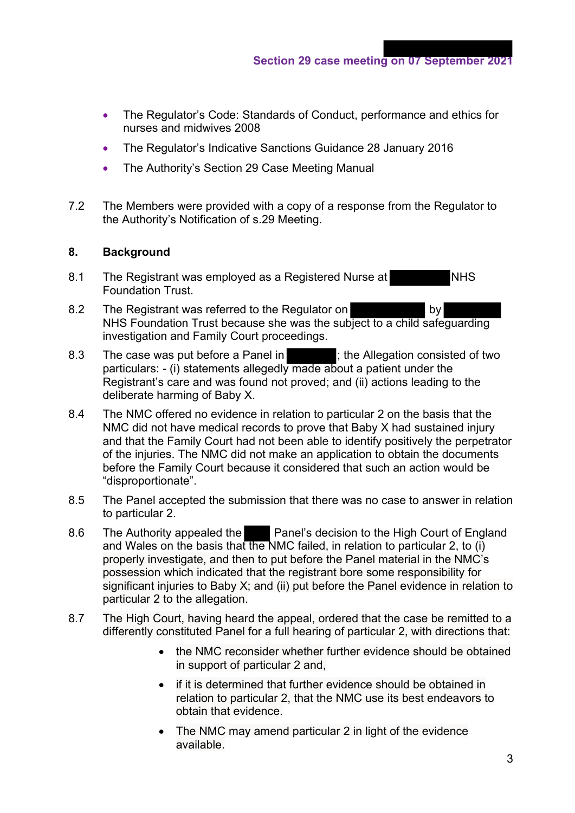- The Regulator's Code: Standards of Conduct, performance and ethics for nurses and midwives 2008
- The Regulator's Indicative Sanctions Guidance 28 January 2016
- The Authority's Section 29 Case Meeting Manual
- 7.2 The Members were provided with a copy of a response from the Regulator to the Authority's Notification of s.29 Meeting.

#### **8. Background**

- 8.1 The Registrant was employed as a Registered Nurse at NHS Foundation Trust.
- 8.2 The Registrant was referred to the Regulator on by NHS Foundation Trust because she was the subject to a child safeguarding investigation and Family Court proceedings.
- 8.3 The case was put before a Panel in  $\blacksquare$ : the Allegation consisted of two particulars: - (i) statements allegedly made about a patient under the Registrant's care and was found not proved; and (ii) actions leading to the deliberate harming of Baby X.
- 8.4 The NMC offered no evidence in relation to particular 2 on the basis that the NMC did not have medical records to prove that Baby X had sustained injury and that the Family Court had not been able to identify positively the perpetrator of the injuries. The NMC did not make an application to obtain the documents before the Family Court because it considered that such an action would be "disproportionate".
- 8.5 The Panel accepted the submission that there was no case to answer in relation to particular 2.
- 8.6 The Authority appealed the Panel's decision to the High Court of England and Wales on the basis that the NMC failed, in relation to particular 2, to (i) properly investigate, and then to put before the Panel material in the NMC's possession which indicated that the registrant bore some responsibility for significant injuries to Baby X; and (ii) put before the Panel evidence in relation to particular 2 to the allegation.
- 8.7 The High Court, having heard the appeal, ordered that the case be remitted to a differently constituted Panel for a full hearing of particular 2, with directions that:
	- the NMC reconsider whether further evidence should be obtained in support of particular 2 and,
	- if it is determined that further evidence should be obtained in relation to particular 2, that the NMC use its best endeavors to obtain that evidence.
	- The NMC may amend particular 2 in light of the evidence available.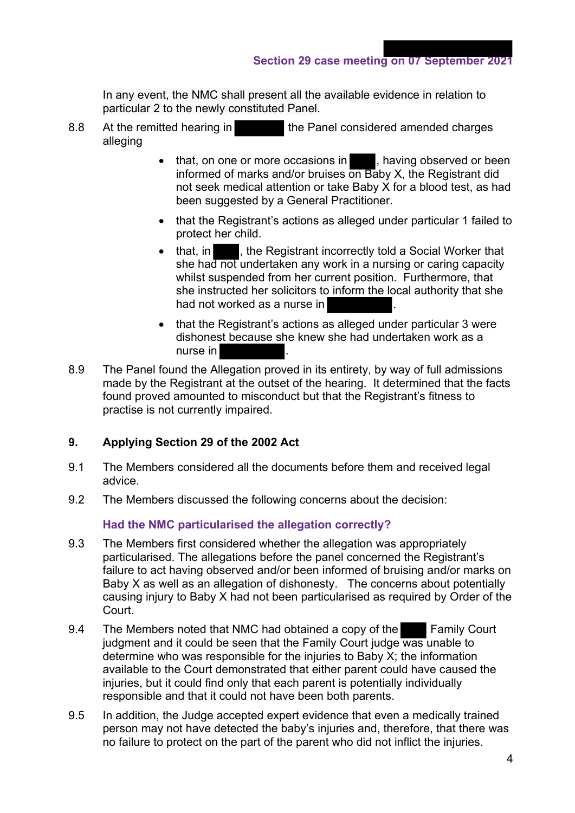In any event, the NMC shall present all the available evidence in relation to particular 2 to the newly constituted Panel.

- 8.8 At the remitted hearing in the Panel considered amended charges alleging
	- that, on one or more occasions in , having observed or been informed of marks and/or bruises on Baby X, the Registrant did not seek medical attention or take Baby X for a blood test, as had been suggested by a General Practitioner.
	- that the Registrant's actions as alleged under particular 1 failed to protect her child.
	- that, in , the Registrant incorrectly told a Social Worker that she had not undertaken any work in a nursing or caring capacity whilst suspended from her current position. Furthermore, that she instructed her solicitors to inform the local authority that she had not worked as a nurse in
	- that the Registrant's actions as alleged under particular 3 were dishonest because she knew she had undertaken work as a nurse in
- 8.9 The Panel found the Allegation proved in its entirety, by way of full admissions made by the Registrant at the outset of the hearing. It determined that the facts found proved amounted to misconduct but that the Registrant's fitness to practise is not currently impaired.

#### **9. Applying Section 29 of the 2002 Act**

- 9.1 The Members considered all the documents before them and received legal advice.
- 9.2 The Members discussed the following concerns about the decision:

#### **Had the NMC particularised the allegation correctly?**

- 9.3 The Members first considered whether the allegation was appropriately particularised. The allegations before the panel concerned the Registrant's failure to act having observed and/or been informed of bruising and/or marks on Baby X as well as an allegation of dishonesty. The concerns about potentially causing injury to Baby X had not been particularised as required by Order of the Court.
- 9.4 The Members noted that NMC had obtained a copy of the Family Court judgment and it could be seen that the Family Court judge was unable to determine who was responsible for the injuries to Baby X; the information available to the Court demonstrated that either parent could have caused the injuries, but it could find only that each parent is potentially individually responsible and that it could not have been both parents.
- 9.5 In addition, the Judge accepted expert evidence that even a medically trained person may not have detected the baby's injuries and, therefore, that there was no failure to protect on the part of the parent who did not inflict the injuries.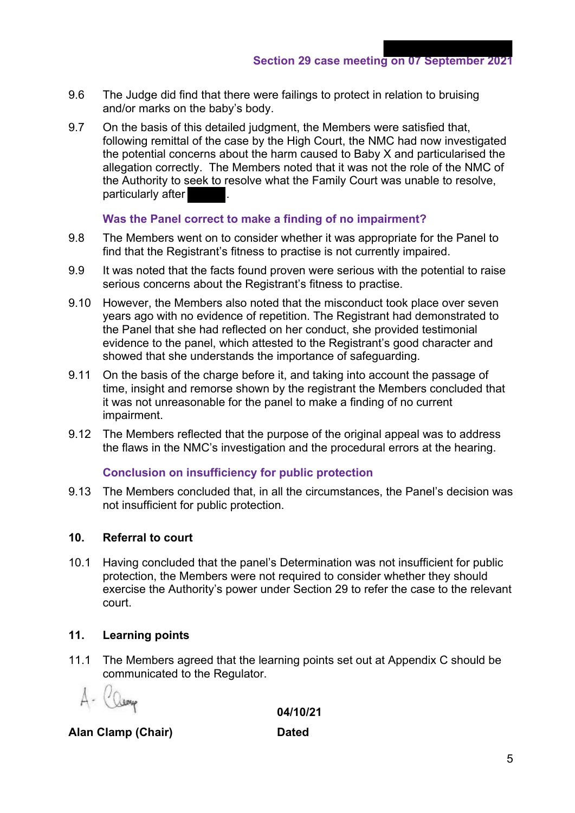**Section 29 case meeting on 07 September 2021**

- 9.6 The Judge did find that there were failings to protect in relation to bruising and/or marks on the baby's body.
- 9.7 On the basis of this detailed judgment, the Members were satisfied that, following remittal of the case by the High Court, the NMC had now investigated the potential concerns about the harm caused to Baby X and particularised the allegation correctly. The Members noted that it was not the role of the NMC of the Authority to seek to resolve what the Family Court was unable to resolve, particularly after

#### **Was the Panel correct to make a finding of no impairment?**

- 9.8 The Members went on to consider whether it was appropriate for the Panel to find that the Registrant's fitness to practise is not currently impaired.
- 9.9 It was noted that the facts found proven were serious with the potential to raise serious concerns about the Registrant's fitness to practise.
- 9.10 However, the Members also noted that the misconduct took place over seven years ago with no evidence of repetition. The Registrant had demonstrated to the Panel that she had reflected on her conduct, she provided testimonial evidence to the panel, which attested to the Registrant's good character and showed that she understands the importance of safeguarding.
- 9.11 On the basis of the charge before it, and taking into account the passage of time, insight and remorse shown by the registrant the Members concluded that it was not unreasonable for the panel to make a finding of no current impairment.
- 9.12 The Members reflected that the purpose of the original appeal was to address the flaws in the NMC's investigation and the procedural errors at the hearing.

#### **Conclusion on insufficiency for public protection**

9.13 The Members concluded that, in all the circumstances, the Panel's decision was not insufficient for public protection.

#### **10. Referral to court**

10.1 Having concluded that the panel's Determination was not insufficient for public protection, the Members were not required to consider whether they should exercise the Authority's power under Section 29 to refer the case to the relevant court.

#### **11. Learning points**

11.1 The Members agreed that the learning points set out at Appendix C should be communicated to the Regulator.

 **04/10/21**

### **Alan Clamp (Chair) Dated**